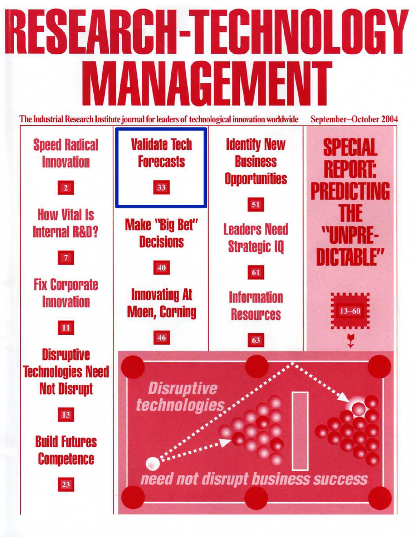# RESEARCH-TECHNOLOGY MANAGEMENT

The Industrial Research Institute journal for leaders of technological innovation worldwide

September-October 2004

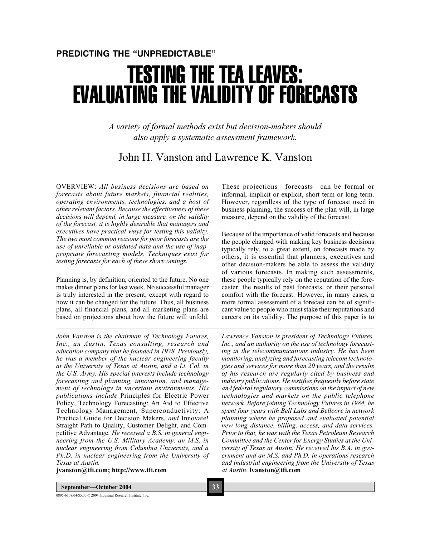### **PREDICTING THE "UNPREDICTABLE"** TESTING THE TEA LEAVES: EVALUATING THE VALIDITY OF FORECASTS

*A variety of formal methods exist but decision-makers should also apply a systematic assessment framework.*

### John H. Vanston and Lawrence K. Vanston

OVERVIEW: *All business decisions are based on forecasts about future markets, financial realities, operating environments, technologies, and a host of other relevant factors. Because the effectiveness of these decisions will depend, in large measure, on the validity of the forecast, it is highly desirable that managers and executives have practical ways for testing this validity. The two most common reasons for poor forecasts are the use of unreliable or outdated data and the use of inappropriate forecasting models. Techniques exist for testing forecasts for each of these shortcomings.*

Planning is, by definition, oriented to the future. No one makes dinner plans for last week. No successful manager is truly interested in the present, except with regard to how it can be changed for the future. Thus, all business plans, all financial plans, and all marketing plans are based on projections about how the future will unfold.

*John Vanston is the chairman of Technology Futures, Inc., an Austin, Texas consulting, research and education company that he founded in 1978. Previously, he was a member of the nuclear engineering faculty at the University of Texas at Austin, and a Lt. Col. in the U.S. Army. His special interests include technology forecasting and planning, innovation, and management of technology in uncertain environments. His publications include* Principles for Electric Power Policy, Technology Forecasting: An Aid to Effective Technology Management, Superconductivity: A Practical Guide for Decision Makers, *and* Innovate! Straight Path to Quality, Customer Delight, and Competitive Advantage. *He received a B.S. in general engineering from the U.S. Military Academy, an M.S. in nuclear engineering from Columbia University, and a Ph.D. in nuclear engineering from the University of Texas at Austin.*

**jvanston@tfi.com; http://www.tfi.com**

These projections—forecasts—can be formal or informal, implicit or explicit, short term or long term. However, regardless of the type of forecast used in business planning, the success of the plan will, in large measure, depend on the validity of the forecast.

Because of the importance of valid forecasts and because the people charged with making key business decisions typically rely, to a great extent, on forecasts made by others, it is essential that planners, executives and other decision-makers be able to assess the validity of various forecasts. In making such assessments, these people typically rely on the reputation of the forecaster, the results of past forecasts, or their personal comfort with the forecast. However, in many cases, a more formal assessment of a forecast can be of significant value to people who must stake their reputations and careers on its validity. The purpose of this paper is to

*Lawrence Vanston is president of Technology Futures, Inc., and an authority on the use of technology forecasting in the telecommunications industry. He has been monitoring, analyzing and forecasting telecom technologies and services for more than 20 years, and the results of his research are regularly cited by business and industry publications. He testifies frequently before state and federal regulatory commissions on the impact of new technologies and markets on the public telephone network. Before joining Technology Futures in 1984, he spent four years with Bell Labs and Bellcore in network planning where he proposed and evaluated potential new long distance, billing, access, and data services. Prior to that, he was with the Texas Petroleum Research Committee and the Center for Energy Studies at the University of Texas at Austin. He received his B.A. in government and an M.S. and Ph.D. in operations research and industrial engineering from the University of Texas at Austin.* **lvanston@tfi.com**

**September—October 2004 33**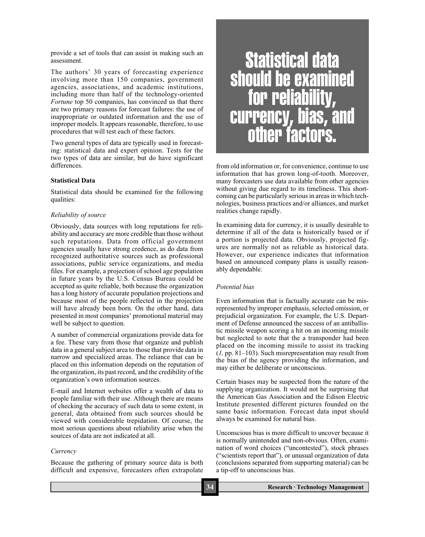provide a set of tools that can assist in making such an assessment.

The authors' 30 years of forecasting experience involving more than 150 companies, government agencies, associations, and academic institutions, including more than half of the technology-oriented *Fortune* top 50 companies, has convinced us that there are two primary reasons for forecast failures: the use of inappropriate or outdated information and the use of improper models. It appears reasonable, therefore, to use procedures that will test each of these factors.

Two general types of data are typically used in forecasting: statistical data and expert opinion. Tests for the two types of data are similar, but do have significant differences.

### **Statistical Data**

Statistical data should be examined for the following qualities:

### *Reliability of source*

Obviously, data sources with long reputations for reliability and accuracy are more credible than those without such reputations. Data from official government agencies usually have strong credence, as do data from recognized authoritative sources such as professional associations, public service organizations, and media files. For example, a projection of school age population in future years by the U.S. Census Bureau could be accepted as quite reliable, both because the organization has a long history of accurate population projections and because most of the people reflected in the projection will have already been born. On the other hand, data presented in most companies' promotional material may well be subject to question.

A number of commercial organizations provide data for a fee. These vary from those that organize and publish data in a general subject area to those that provide data in narrow and specialized areas. The reliance that can be placed on this information depends on the reputation of the organization, its past record, and the credibility of the organization's own information sources.

E-mail and Internet websites offer a wealth of data to people familiar with their use. Although there are means of checking the accuracy of such data to some extent, in general, data obtained from such sources should be viewed with considerable trepidation. Of course, the most serious questions about reliability arise when the sources of data are not indicated at all.

### *Currency*

Because the gathering of primary source data is both difficult and expensive, forecasters often extrapolate

## **Statistical data** should be examined for reliability, currency, bias, and other factors.

from old information or, for convenience, continue to use information that has grown long-of-tooth. Moreover, many forecasters use data available from other agencies without giving due regard to its timeliness. This shortcoming can be particularly serious in areas in which technologies, business practices and/or alliances, and market realities change rapidly.

In examining data for currency, it is usually desirable to determine if all of the data is historically based or if a portion is projected data. Obviously, projected figures are normally not as reliable as historical data. However, our experience indicates that information based on announced company plans is usually reasonably dependable.

### *Potential bias*

Even information that is factually accurate can be misrepresented by improper emphasis, selected omission, or prejudicial organization. For example, the U.S. Department of Defense announced the success of an antiballistic missile weapon scoring a hit on an incoming missile but neglected to note that the a transponder had been placed on the incoming missile to assist its tracking (*1,* pp. 81–103). Such misrepresentation may result from the bias of the agency providing the information, and may either be deliberate or unconscious.

Certain biases may be suspected from the nature of the supplying organization. It would not be surprising that the American Gas Association and the Edison Electric Institute presented different pictures founded on the same basic information. Forecast data input should always be examined for natural bias.

Unconscious bias is more difficult to uncover because it is normally unintended and non-obvious. Often, examination of word choices ("uncontested"), stock phrases ("scientists report that"), or unusual organization of data (conclusions separated from supporting material) can be a tip-off to unconscious bias.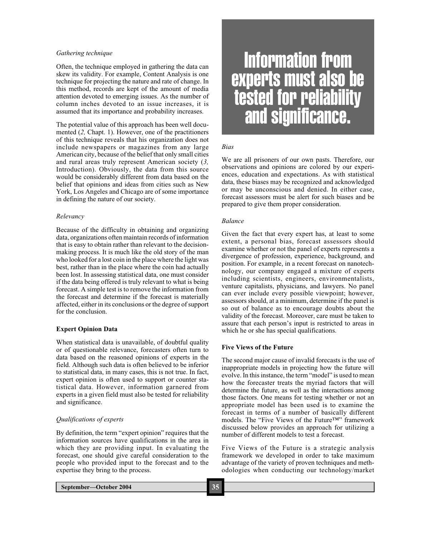### *Gathering technique*

Often, the technique employed in gathering the data can skew its validity. For example, Content Analysis is one technique for projecting the nature and rate of change. In this method, records are kept of the amount of media attention devoted to emerging issues. As the number of column inches devoted to an issue increases, it is assumed that its importance and probability increases.

The potential value of this approach has been well documented (*2,* Chapt. 1). However, one of the practitioners of this technique reveals that his organization does not include newspapers or magazines from any large American city, because of the belief that only small cities and rural areas truly represent American society (*3,* Introduction). Obviously, the data from this source would be considerably different from data based on the belief that opinions and ideas from cities such as New York, Los Angeles and Chicago are of some importance in defining the nature of our society.

### *Relevancy*

Because of the difficulty in obtaining and organizing data, organizations often maintain records of information that is easy to obtain rather than relevant to the decisionmaking process. It is much like the old story of the man who looked for a lost coin in the place where the light was best, rather than in the place where the coin had actually been lost. In assessing statistical data, one must consider if the data being offered is truly relevant to what is being forecast. A simple test is to remove the information from the forecast and determine if the forecast is materially affected, either in its conclusions or the degree of support for the conclusion.

### **Expert Opinion Data**

When statistical data is unavailable, of doubtful quality or of questionable relevance, forecasters often turn to data based on the reasoned opinions of experts in the field. Although such data is often believed to be inferior to statistical data, in many cases, this is not true. In fact, expert opinion is often used to support or counter statistical data. However, information garnered from experts in a given field must also be tested for reliability and significance.

### *Qualifications of experts*

By definition, the term "expert opinion" requires that the information sources have qualifications in the area in which they are providing input. In evaluating the forecast, one should give careful consideration to the people who provided input to the forecast and to the expertise they bring to the process.

## Information from experts must also be tested for reliability and significance.

### *Bias*

We are all prisoners of our own pasts. Therefore, our observations and opinions are colored by our experiences, education and expectations. As with statistical data, these biases may be recognized and acknowledged or may be unconscious and denied. In either case, forecast assessors must be alert for such biases and be prepared to give them proper consideration.

### *Balance*

Given the fact that every expert has, at least to some extent, a personal bias, forecast assessors should examine whether or not the panel of experts represents a divergence of profession, experience, background, and position. For example, in a recent forecast on nanotechnology, our company engaged a mixture of experts including scientists, engineers, environmentalists, venture capitalists, physicians, and lawyers. No panel can ever include every possible viewpoint; however, assessors should, at a minimum, determine if the panel is so out of balance as to encourage doubts about the validity of the forecast. Moreover, care must be taken to assure that each person's input is restricted to areas in which he or she has special qualifications.

### **Five Views of the Future**

The second major cause of invalid forecasts is the use of inappropriate models in projecting how the future will evolve. In this instance, the term "model" is used to mean how the forecaster treats the myriad factors that will determine the future, as well as the interactions among those factors. One means for testing whether or not an appropriate model has been used is to examine the forecast in terms of a number of basically different models. The "Five Views of the Future™" framework discussed below provides an approach for utilizing a number of different models to test a forecast.

Five Views of the Future is a strategic analysis framework we developed in order to take maximum advantage of the variety of proven techniques and methodologies when conducting our technology/market

**September—October 2004 35**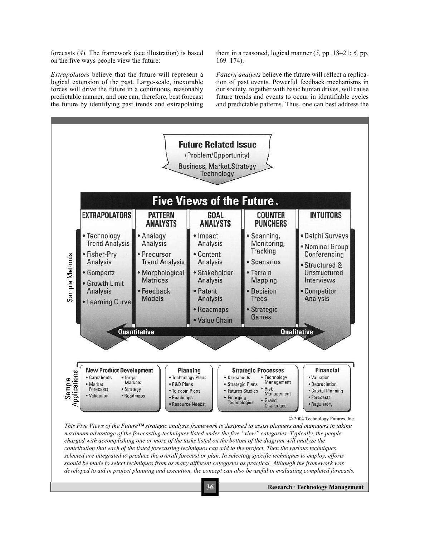forecasts (*4*). The framework (see illustration) is based on the five ways people view the future:

*Extrapolators* believe that the future will represent a logical extension of the past. Large-scale, inexorable forces will drive the future in a continuous, reasonably predictable manner, and one can, therefore, best forecast the future by identifying past trends and extrapolating them in a reasoned, logical manner (*5,* pp. 18–21; *6,* pp. 169–174).

*Pattern analysts* believe the future will reflect a replication of past events. Powerful feedback mechanisms in our society, together with basic human drives, will cause future trends and events to occur in identifiable cycles and predictable patterns. Thus, one can best address the



*This Five Views of the Future™ strategic analysis framework is designed to assist planners and managers in taking maximum advantage of the forecasting techniques listed under the five "view" categories. Typically, the people charged with accomplishing one or more of the tasks listed on the bottom of the diagram will analyze the contribution that each of the listed forecasting techniques can add to the project. Then the various techniques selected are integrated to produce the overall forecast or plan. In selecting specific techniques to employ, efforts should be made to select techniques from as many different categories as practical. Although the framework was developed to aid in project planning and execution, the concept can also be useful in evaluating completed forecasts.*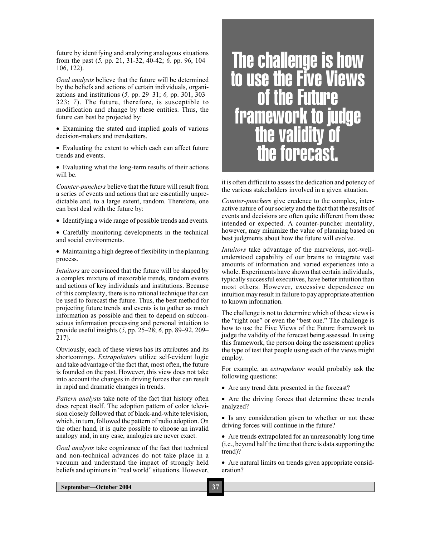future by identifying and analyzing analogous situations from the past (*5,* pp. 21, 31-32, 40-42; *6,* pp. 96, 104– 106, 122).

*Goal analysts* believe that the future will be determined by the beliefs and actions of certain individuals, organizations and institutions (*5,* pp. 29–31; *6,* pp. 301, 303– 323; *7*). The future, therefore, is susceptible to modification and change by these entities. Thus, the future can best be projected by:

• Examining the stated and implied goals of various decision-makers and trendsetters.

• Evaluating the extent to which each can affect future trends and events.

• Evaluating what the long-term results of their actions will be.

*Counter-punchers* believe that the future will result from a series of events and actions that are essentially unpredictable and, to a large extent, random. Therefore, one can best deal with the future by:

• Identifying a wide range of possible trends and events.

• Carefully monitoring developments in the technical and social environments.

• Maintaining a high degree of flexibility in the planning process.

*Intuitors* are convinced that the future will be shaped by a complex mixture of inexorable trends, random events and actions of key individuals and institutions. Because of this complexity, there is no rational technique that can be used to forecast the future. Thus, the best method for projecting future trends and events is to gather as much information as possible and then to depend on subconscious information processing and personal intuition to provide useful insights (*5,* pp. 25–28; *6,* pp. 89–92, 209– 217).

Obviously, each of these views has its attributes and its shortcomings. *Extrapolators* utilize self-evident logic and take advantage of the fact that, most often, the future is founded on the past. However, this view does not take into account the changes in driving forces that can result in rapid and dramatic changes in trends.

*Pattern analysts* take note of the fact that history often does repeat itself. The adoption pattern of color television closely followed that of black-and-white television, which, in turn, followed the pattern of radio adoption. On the other hand, it is quite possible to choose an invalid analogy and, in any case, analogies are never exact.

*Goal analysts* take cognizance of the fact that technical and non-technical advances do not take place in a vacuum and understand the impact of strongly held beliefs and opinions in "real world" situations. However,

# The challenge is how to use the Five Views **the Future** framewor<br>the vali the forecast

it is often difficult to assess the dedication and potency of the various stakeholders involved in a given situation.

*Counter-punchers* give credence to the complex, interactive nature of our society and the fact that the results of events and decisions are often quite different from those intended or expected. A counter-puncher mentality, however, may minimize the value of planning based on best judgments about how the future will evolve.

*Intuitors* take advantage of the marvelous, not-wellunderstood capability of our brains to integrate vast amounts of information and varied experiences into a whole. Experiments have shown that certain individuals, typically successful executives, have better intuition than most others. However, excessive dependence on intuition may result in failure to pay appropriate attention to known information.

The challenge is not to determine which of these views is the "right one" or even the "best one." The challenge is how to use the Five Views of the Future framework to judge the validity of the forecast being assessed. In using this framework, the person doing the assessment applies the type of test that people using each of the views might employ.

For example, an *extrapolator* would probably ask the following questions:

- Are any trend data presented in the forecast?
- Are the driving forces that determine these trends analyzed?
- Is any consideration given to whether or not these driving forces will continue in the future?

• Are trends extrapolated for an unreasonably long time (i.e., beyond half the time that there is data supporting the trend)?

• Are natural limits on trends given appropriate consideration?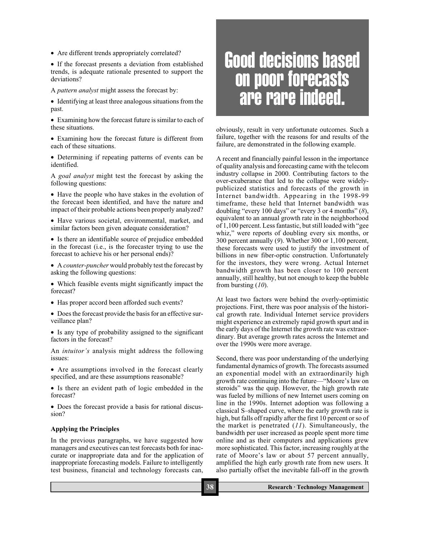• Are different trends appropriately correlated?

• If the forecast presents a deviation from established trends, is adequate rationale presented to support the deviations?

A *pattern analyst* might assess the forecast by:

• Identifying at least three analogous situations from the past.

• Examining how the forecast future is similar to each of these situations.

• Examining how the forecast future is different from each of these situations.

• Determining if repeating patterns of events can be identified.

A *goal analyst* might test the forecast by asking the following questions:

• Have the people who have stakes in the evolution of the forecast been identified, and have the nature and impact of their probable actions been properly analyzed?

• Have various societal, environmental, market, and similar factors been given adequate consideration?

• Is there an identifiable source of prejudice embedded in the forecast (i.e., is the forecaster trying to use the forecast to achieve his or her personal ends)?

• A *counter-puncher* would probably test the forecast by asking the following questions:

• Which feasible events might significantly impact the forecast?

• Has proper accord been afforded such events?

• Does the forecast provide the basis for an effective surveillance plan?

• Is any type of probability assigned to the significant factors in the forecast?

An *intuitor's* analysis might address the following issues:

• Are assumptions involved in the forecast clearly specified, and are these assumptions reasonable?

• Is there an evident path of logic embedded in the forecast?

• Does the forecast provide a basis for rational discussion?

### **Applying the Principles**

In the previous paragraphs, we have suggested how managers and executives can test forecasts both for inaccurate or inappropriate data and for the application of inappropriate forecasting models. Failure to intelligently test business, financial and technology forecasts can,

## Good decisions based on poor forecasts are rare indeed.

obviously, result in very unfortunate outcomes. Such a failure, together with the reasons for and results of the failure, are demonstrated in the following example.

A recent and financially painful lesson in the importance of quality analysis and forecasting came with the telecom industry collapse in 2000. Contributing factors to the over-exuberance that led to the collapse were widelypublicized statistics and forecasts of the growth in Internet bandwidth. Appearing in the 1998-99 timeframe, these held that Internet bandwidth was doubling "every 100 days" or "every 3 or 4 months" (*8*), equivalent to an annual growth rate in the neighborhood of 1,100 percent. Less fantastic, but still loaded with "gee whiz," were reports of doubling every six months, or 300 percent annually (*9*). Whether 300 or 1,100 percent, these forecasts were used to justify the investment of billions in new fiber-optic construction. Unfortunately for the investors, they were wrong. Actual Internet bandwidth growth has been closer to 100 percent annually, still healthy, but not enough to keep the bubble from bursting (*10*).

At least two factors were behind the overly-optimistic projections. First, there was poor analysis of the historical growth rate. Individual Internet service providers might experience an extremely rapid growth spurt and in the early days of the Internet the growth rate was extraordinary. But average growth rates across the Internet and over the 1990s were more average.

Second, there was poor understanding of the underlying fundamental dynamics of growth. The forecasts assumed an exponential model with an extraordinarily high growth rate continuing into the future—"Moore's law on steroids" was the quip. However, the high growth rate was fueled by millions of new Internet users coming on line in the 1990s. Internet adoption was following a classical S–shaped curve, where the early growth rate is high, but falls off rapidly after the first 10 percent or so of the market is penetrated (*11*). Simultaneously, the bandwidth per user increased as people spent more time online and as their computers and applications grew more sophisticated. This factor, increasing roughly at the rate of Moore's law or about 57 percent annually, amplified the high early growth rate from new users. It also partially offset the inevitable fall-off in the growth